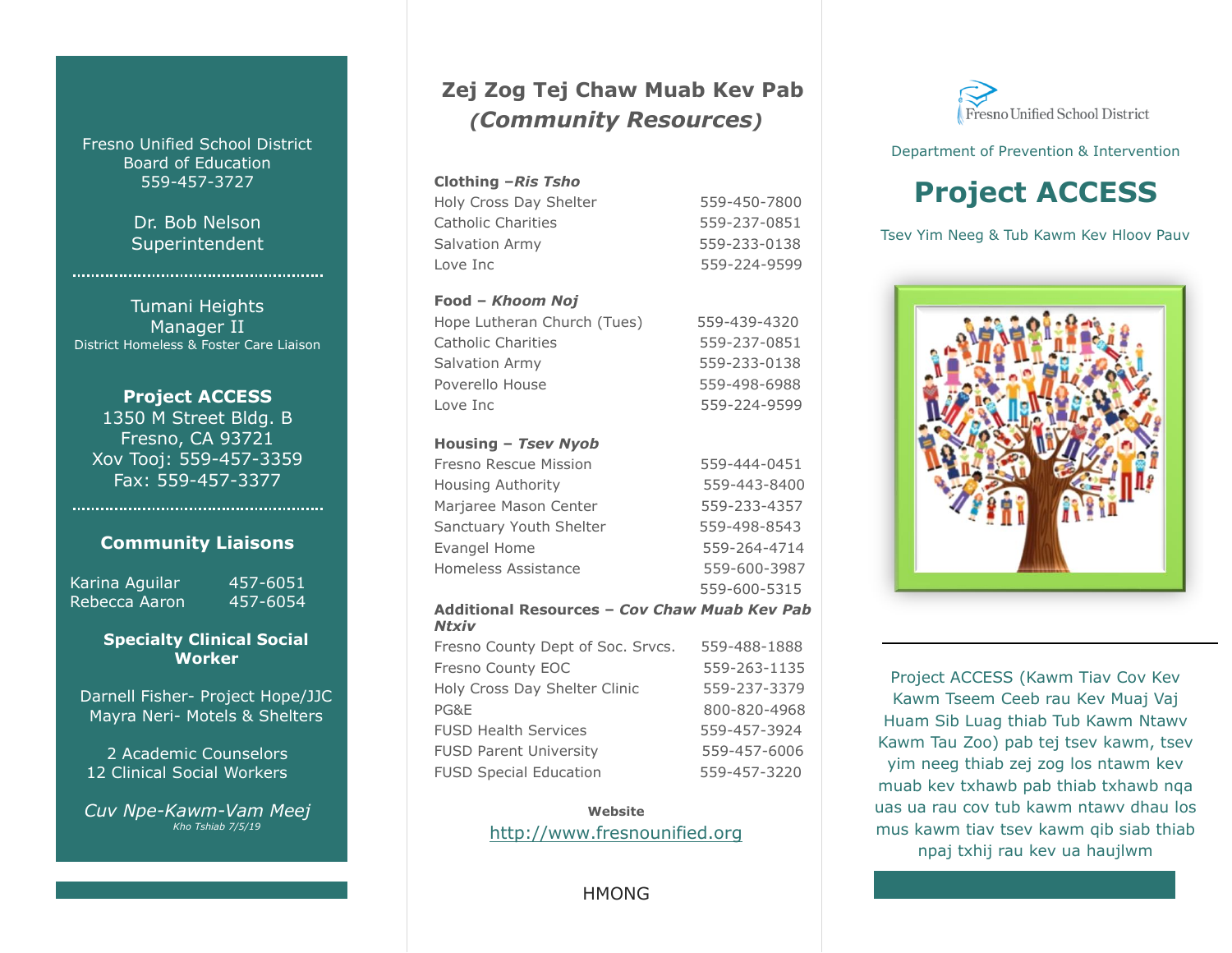Fresno Unified School District Board of Education 559-457-3727

> Dr. Bob Nelson Superintendent

Tumani Heights Manager II District Homeless & Foster Care Liaison

**Project ACCESS** 1350 M Street Bldg. B Fresno, CA 93721 Xov Tooj: 559-457-3359 Fax: 559-457-3377

### **Community Liaisons**

Karina Aguilar 457-6051 Rebecca Aaron 457-6054

### **Specialty Clinical Social Worker**

Darnell Fisher- Project Hope/JJC Mayra Neri- Motels & Shelters

2 Academic Counselors 12 Clinical Social Workers

*Cuv Npe-Kawm-Vam Meej Kho Tshiab 7/5/19*

### **Zej Zog Tej Chaw Muab Kev Pab** *(Community Resources)*

#### **Clothing –***Ris Tsho*

| Holy Cross Day Shelter | 559-450-7800 |
|------------------------|--------------|
| Catholic Charities     | 559-237-0851 |
| Salvation Army         | 559-233-0138 |
| Love Inc               | 559-224-9599 |

#### **Food –** *Khoom Noj*

| Hope Lutheran Church (Tues) | 559-439-4320 |
|-----------------------------|--------------|
| Catholic Charities          | 559-237-0851 |
| Salvation Army              | 559-233-0138 |
| Poverello House             | 559-498-6988 |
| Love Inc                    | 559-224-9599 |

#### **Housing –** *Tsev Nyob*

| Fresno Rescue Mission   | 559-444-0451 |
|-------------------------|--------------|
| Housing Authority       | 559-443-8400 |
| Marjaree Mason Center   | 559-233-4357 |
| Sanctuary Youth Shelter | 559-498-8543 |
| Evangel Home            | 559-264-4714 |
| Homeless Assistance     | 559-600-3987 |
|                         | 559-600-5315 |

#### **Additional Resources –** *Cov Chaw Muab Kev Pab Ntxiv*

Fresno County Dept of Soc. Srvcs. 559-488-1888 Fresno County EOC 559-263-1135 Holy Cross Day Shelter Clinic 559-237-3379 PG&E 800-820-4968 FUSD Health Services 559-457-3924 FUSD Parent University 559-457-6006 FUSD Special Education 559-457-3220

> **Website** [http://www.fresnounified.org](http://www.fresnounified.org/)

> > **HMONG**



#### Department of Prevention & Intervention

# **Project ACCESS**

Tsev Yim Neeg & Tub Kawm Kev Hloov Pauv



Project ACCESS (Kawm Tiav Cov Kev Kawm Tseem Ceeb rau Kev Muaj Vaj Huam Sib Luag thiab Tub Kawm Ntawv Kawm Tau Zoo) pab tej tsev kawm, tsev yim neeg thiab zej zog los ntawm kev muab kev txhawb pab thiab txhawb nqa uas ua rau cov tub kawm ntawv dhau los mus kawm tiav tsev kawm qib siab thiab npaj txhij rau kev ua haujlwm